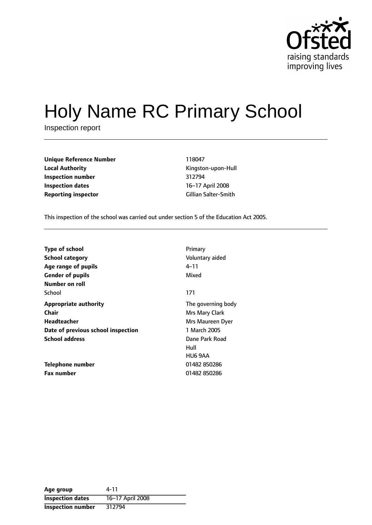

# Holy Name RC Primary School

Inspection report

| Unique Reference Number    | 118047               |
|----------------------------|----------------------|
| <b>Local Authority</b>     | Kingston-upon-Hull   |
| Inspection number          | 312794               |
| Inspection dates           | 16-17 April 2008     |
| <b>Reporting inspector</b> | Gillian Salter-Smith |

**Unique Reference Number** 118047 **Local Authority** Kingston-upon-Hull **Inspection number** 312794 **16-17 April 2008** 

This inspection of the school was carried out under section 5 of the Education Act 2005.

| <b>Type of school</b>              | Primary            |
|------------------------------------|--------------------|
| <b>School category</b>             | Voluntary aided    |
| Age range of pupils                | 4–11               |
| <b>Gender of pupils</b>            | Mixed              |
| Number on roll                     |                    |
| School                             | 171                |
| <b>Appropriate authority</b>       | The governing body |
| Chair                              | Mrs Mary Clark     |
| Headteacher                        | Mrs Maureen Dyer   |
| Date of previous school inspection | 1 March 2005       |
| <b>School address</b>              | Dane Park Road     |
|                                    | Hull               |
|                                    | HU6 9AA            |
| Telephone number                   | 01482 850286       |
| <b>Fax number</b>                  | 01482 850286       |

| Age group                | 4-11             |
|--------------------------|------------------|
| <b>Inspection dates</b>  | 16-17 April 2008 |
| <b>Inspection number</b> | 312794           |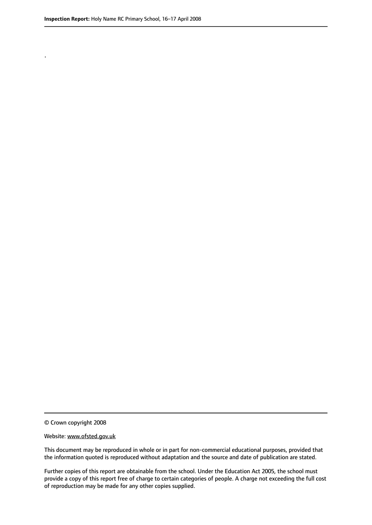.

© Crown copyright 2008

#### Website: www.ofsted.gov.uk

This document may be reproduced in whole or in part for non-commercial educational purposes, provided that the information quoted is reproduced without adaptation and the source and date of publication are stated.

Further copies of this report are obtainable from the school. Under the Education Act 2005, the school must provide a copy of this report free of charge to certain categories of people. A charge not exceeding the full cost of reproduction may be made for any other copies supplied.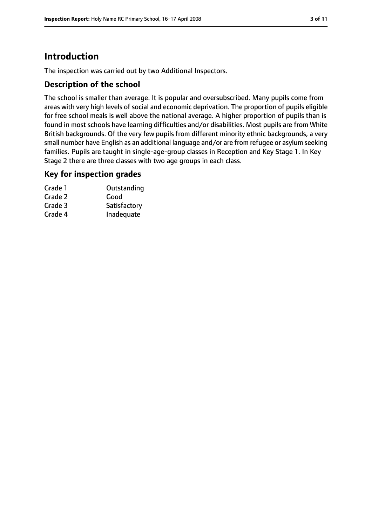# **Introduction**

The inspection was carried out by two Additional Inspectors.

#### **Description of the school**

The school is smaller than average. It is popular and oversubscribed. Many pupils come from areas with very high levels of social and economic deprivation. The proportion of pupils eligible for free school meals is well above the national average. A higher proportion of pupils than is found in most schools have learning difficulties and/or disabilities. Most pupils are from White British backgrounds. Of the very few pupils from different minority ethnic backgrounds, a very small number have English as an additional language and/or are from refugee or asylum seeking families. Pupils are taught in single-age-group classes in Reception and Key Stage 1. In Key Stage 2 there are three classes with two age groups in each class.

#### **Key for inspection grades**

| Grade 1 | Outstanding  |
|---------|--------------|
| Grade 2 | Good         |
| Grade 3 | Satisfactory |
| Grade 4 | Inadequate   |
|         |              |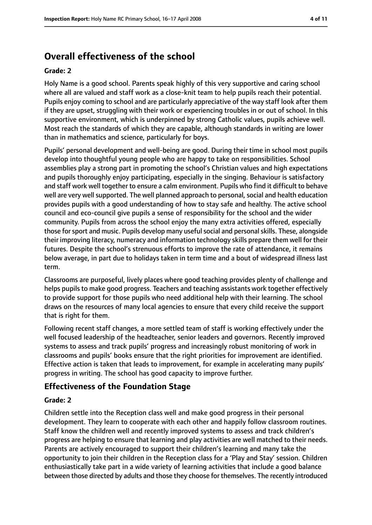# **Overall effectiveness of the school**

#### **Grade: 2**

Holy Name is a good school. Parents speak highly of this very supportive and caring school where all are valued and staff work as a close-knit team to help pupils reach their potential. Pupils enjoy coming to school and are particularly appreciative of the way staff look after them if they are upset, struggling with their work or experiencing troubles in or out of school. In this supportive environment, which is underpinned by strong Catholic values, pupils achieve well. Most reach the standards of which they are capable, although standards in writing are lower than in mathematics and science, particularly for boys.

Pupils' personal development and well-being are good. During their time in school most pupils develop into thoughtful young people who are happy to take on responsibilities. School assemblies play a strong part in promoting the school's Christian values and high expectations and pupils thoroughly enjoy participating, especially in the singing. Behaviour is satisfactory and staff work well together to ensure a calm environment. Pupils who find it difficult to behave well are very well supported. The well planned approach to personal, social and health education provides pupils with a good understanding of how to stay safe and healthy. The active school council and eco-council give pupils a sense of responsibility for the school and the wider community. Pupils from across the school enjoy the many extra activities offered, especially those forsport and music. Pupils develop many usefulsocial and personalskills. These, alongside their improving literacy, numeracy and information technology skills prepare them well for their futures. Despite the school's strenuous efforts to improve the rate of attendance, it remains below average, in part due to holidays taken in term time and a bout of widespread illness last term.

Classrooms are purposeful, lively places where good teaching provides plenty of challenge and helps pupils to make good progress. Teachers and teaching assistants work together effectively to provide support for those pupils who need additional help with their learning. The school draws on the resources of many local agencies to ensure that every child receive the support that is right for them.

Following recent staff changes, a more settled team of staff is working effectively under the well focused leadership of the headteacher, senior leaders and governors. Recently improved systems to assess and track pupils' progress and increasingly robust monitoring of work in classrooms and pupils' books ensure that the right priorities for improvement are identified. Effective action is taken that leads to improvement, for example in accelerating many pupils' progress in writing. The school has good capacity to improve further.

#### **Effectiveness of the Foundation Stage**

#### **Grade: 2**

Children settle into the Reception class well and make good progress in their personal development. They learn to cooperate with each other and happily follow classroom routines. Staff know the children well and recently improved systems to assess and track children's progress are helping to ensure that learning and play activities are well matched to their needs. Parents are actively encouraged to support their children's learning and many take the opportunity to join their children in the Reception class for a 'Play and Stay' session. Children enthusiastically take part in a wide variety of learning activities that include a good balance between those directed by adults and those they choose for themselves. The recently introduced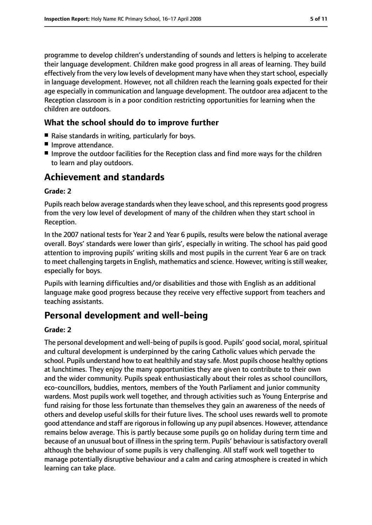programme to develop children's understanding of sounds and letters is helping to accelerate their language development. Children make good progress in all areas of learning. They build effectively from the very low levels of development many have when they start school, especially in language development. However, not all children reach the learning goals expected for their age especially in communication and language development. The outdoor area adjacent to the Reception classroom is in a poor condition restricting opportunities for learning when the children are outdoors.

#### **What the school should do to improve further**

- Raise standards in writing, particularly for boys.
- Improve attendance.
- Improve the outdoor facilities for the Reception class and find more ways for the children to learn and play outdoors.

#### **Achievement and standards**

#### **Grade: 2**

Pupils reach below average standards when they leave school, and this represents good progress from the very low level of development of many of the children when they start school in Reception.

In the 2007 national tests for Year 2 and Year 6 pupils, results were below the national average overall. Boys' standards were lower than girls', especially in writing. The school has paid good attention to improving pupils' writing skills and most pupils in the current Year 6 are on track to meet challenging targets in English, mathematics and science. However, writing is still weaker, especially for boys.

Pupils with learning difficulties and/or disabilities and those with English as an additional language make good progress because they receive very effective support from teachers and teaching assistants.

#### **Personal development and well-being**

#### **Grade: 2**

The personal development and well-being of pupils is good. Pupils' good social, moral, spiritual and cultural development is underpinned by the caring Catholic values which pervade the school. Pupils understand how to eat healthily and stay safe. Most pupils choose healthy options at lunchtimes. They enjoy the many opportunities they are given to contribute to their own and the wider community. Pupils speak enthusiastically about their roles as school councillors, eco-councillors, buddies, mentors, members of the Youth Parliament and junior community wardens. Most pupils work well together, and through activities such as Young Enterprise and fund raising for those less fortunate than themselves they gain an awareness of the needs of others and develop useful skills for their future lives. The school uses rewards well to promote good attendance and staff are rigorous in following up any pupil absences. However, attendance remains below average. This is partly because some pupils go on holiday during term time and because of an unusual bout of illness in the spring term. Pupils' behaviour is satisfactory overall although the behaviour of some pupils is very challenging. All staff work well together to manage potentially disruptive behaviour and a calm and caring atmosphere is created in which learning can take place.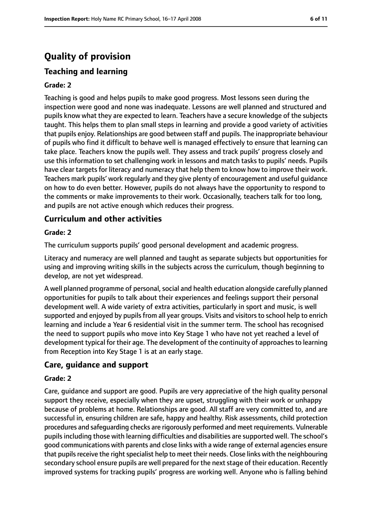# **Quality of provision**

#### **Teaching and learning**

#### **Grade: 2**

Teaching is good and helps pupils to make good progress. Most lessons seen during the inspection were good and none was inadequate. Lessons are well planned and structured and pupils know what they are expected to learn. Teachers have a secure knowledge of the subjects taught. This helps them to plan small steps in learning and provide a good variety of activities that pupils enjoy. Relationships are good between staff and pupils. The inappropriate behaviour of pupils who find it difficult to behave well is managed effectively to ensure that learning can take place. Teachers know the pupils well. They assess and track pupils' progress closely and use this information to set challenging work in lessons and match tasks to pupils' needs. Pupils have clear targets for literacy and numeracy that help them to know how to improve their work. Teachers mark pupils' work regularly and they give plenty of encouragement and useful guidance on how to do even better. However, pupils do not always have the opportunity to respond to the comments or make improvements to their work. Occasionally, teachers talk for too long, and pupils are not active enough which reduces their progress.

#### **Curriculum and other activities**

#### **Grade: 2**

The curriculum supports pupils' good personal development and academic progress.

Literacy and numeracy are well planned and taught as separate subjects but opportunities for using and improving writing skills in the subjects across the curriculum, though beginning to develop, are not yet widespread.

A well planned programme of personal, social and health education alongside carefully planned opportunities for pupils to talk about their experiences and feelings support their personal development well. A wide variety of extra activities, particularly in sport and music, is well supported and enjoyed by pupils from all year groups. Visits and visitors to school help to enrich learning and include a Year 6 residential visit in the summer term. The school has recognised the need to support pupils who move into Key Stage 1 who have not yet reached a level of development typical for their age. The development of the continuity of approaches to learning from Reception into Key Stage 1 is at an early stage.

#### **Care, guidance and support**

#### **Grade: 2**

Care, guidance and support are good. Pupils are very appreciative of the high quality personal support they receive, especially when they are upset, struggling with their work or unhappy because of problems at home. Relationships are good. All staff are very committed to, and are successful in, ensuring children are safe, happy and healthy. Risk assessments, child protection procedures and safeguarding checks are rigorously performed and meet requirements. Vulnerable pupils including those with learning difficulties and disabilities are supported well. The school's good communications with parents and close links with a wide range of external agencies ensure that pupils receive the right specialist help to meet their needs. Close links with the neighbouring secondary school ensure pupils are well prepared for the next stage of their education. Recently improved systems for tracking pupils' progress are working well. Anyone who is falling behind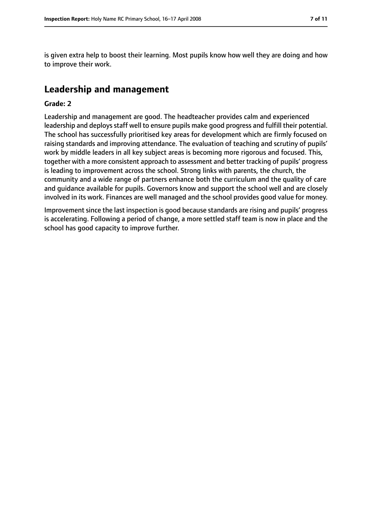is given extra help to boost their learning. Most pupils know how well they are doing and how to improve their work.

## **Leadership and management**

#### **Grade: 2**

Leadership and management are good. The headteacher provides calm and experienced leadership and deploys staff well to ensure pupils make good progress and fulfill their potential. The school has successfully prioritised key areas for development which are firmly focused on raising standards and improving attendance. The evaluation of teaching and scrutiny of pupils' work by middle leaders in all key subject areas is becoming more rigorous and focused. This, together with a more consistent approach to assessment and better tracking of pupils' progress is leading to improvement across the school. Strong links with parents, the church, the community and a wide range of partners enhance both the curriculum and the quality of care and guidance available for pupils. Governors know and support the school well and are closely involved in its work. Finances are well managed and the school provides good value for money.

Improvement since the last inspection is good because standards are rising and pupils' progress is accelerating. Following a period of change, a more settled staff team is now in place and the school has good capacity to improve further.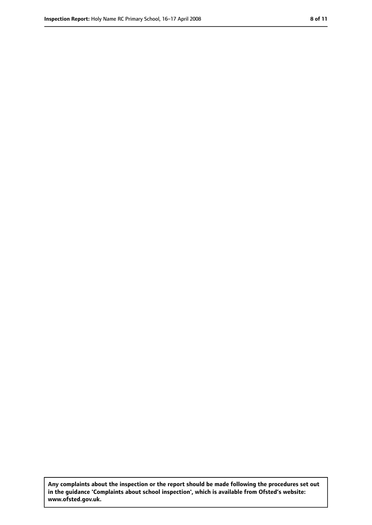**Any complaints about the inspection or the report should be made following the procedures set out in the guidance 'Complaints about school inspection', which is available from Ofsted's website: www.ofsted.gov.uk.**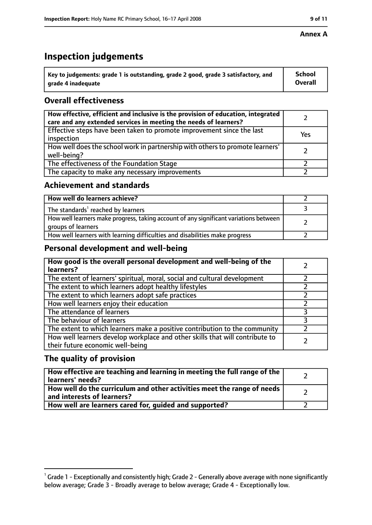# **Inspection judgements**

| $\dot{ }$ Key to judgements: grade 1 is outstanding, grade 2 good, grade 3 satisfactory, and | <b>School</b>  |
|----------------------------------------------------------------------------------------------|----------------|
| arade 4 inadequate                                                                           | <b>Overall</b> |

### **Overall effectiveness**

| How effective, efficient and inclusive is the provision of education, integrated<br>care and any extended services in meeting the needs of learners? |     |
|------------------------------------------------------------------------------------------------------------------------------------------------------|-----|
| Effective steps have been taken to promote improvement since the last<br>inspection                                                                  | Yes |
| How well does the school work in partnership with others to promote learners'<br>well-being?                                                         |     |
| The effectiveness of the Foundation Stage                                                                                                            |     |
| The capacity to make any necessary improvements                                                                                                      |     |

#### **Achievement and standards**

| How well do learners achieve?                                                                               |  |
|-------------------------------------------------------------------------------------------------------------|--|
| The standards <sup>1</sup> reached by learners                                                              |  |
| How well learners make progress, taking account of any significant variations between<br>groups of learners |  |
| How well learners with learning difficulties and disabilities make progress                                 |  |

#### **Personal development and well-being**

| How good is the overall personal development and well-being of the<br>learners?                                  |  |
|------------------------------------------------------------------------------------------------------------------|--|
| The extent of learners' spiritual, moral, social and cultural development                                        |  |
| The extent to which learners adopt healthy lifestyles                                                            |  |
| The extent to which learners adopt safe practices                                                                |  |
| How well learners enjoy their education                                                                          |  |
| The attendance of learners                                                                                       |  |
| The behaviour of learners                                                                                        |  |
| The extent to which learners make a positive contribution to the community                                       |  |
| How well learners develop workplace and other skills that will contribute to<br>their future economic well-being |  |

#### **The quality of provision**

| How effective are teaching and learning in meeting the full range of the<br>learners' needs?          |  |
|-------------------------------------------------------------------------------------------------------|--|
| How well do the curriculum and other activities meet the range of needs<br>and interests of learners? |  |
| How well are learners cared for, quided and supported?                                                |  |

#### **Annex A**

 $^1$  Grade 1 - Exceptionally and consistently high; Grade 2 - Generally above average with none significantly below average; Grade 3 - Broadly average to below average; Grade 4 - Exceptionally low.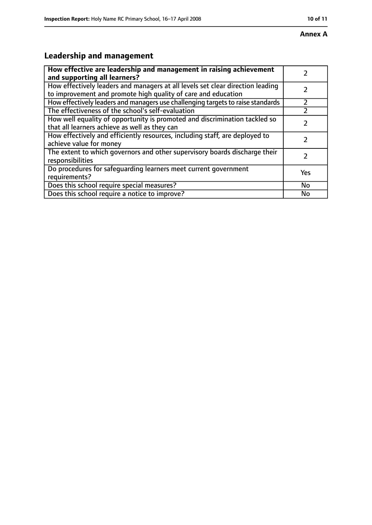# **Leadership and management**

| How effective are leadership and management in raising achievement<br>and supporting all learners?                                              |           |
|-------------------------------------------------------------------------------------------------------------------------------------------------|-----------|
| How effectively leaders and managers at all levels set clear direction leading<br>to improvement and promote high quality of care and education |           |
| How effectively leaders and managers use challenging targets to raise standards                                                                 |           |
| The effectiveness of the school's self-evaluation                                                                                               |           |
| How well equality of opportunity is promoted and discrimination tackled so<br>that all learners achieve as well as they can                     |           |
| How effectively and efficiently resources, including staff, are deployed to<br>achieve value for money                                          |           |
| The extent to which governors and other supervisory boards discharge their<br>responsibilities                                                  |           |
| Do procedures for safequarding learners meet current government<br>requirements?                                                                | Yes       |
| Does this school require special measures?                                                                                                      | <b>No</b> |
| Does this school require a notice to improve?                                                                                                   | No        |